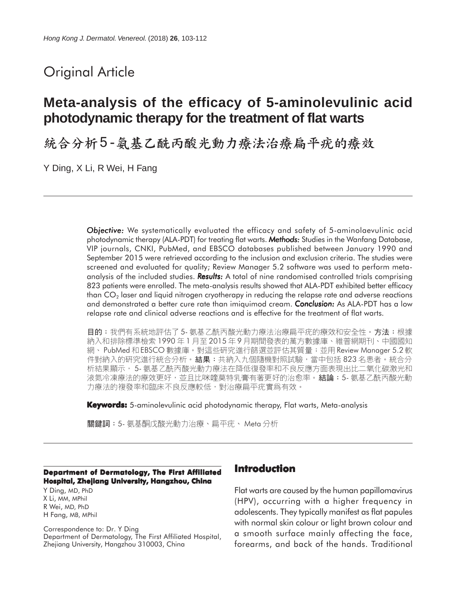# Original Article

# **Meta-analysis of the efficacy of 5-aminolevulinic acid photodynamic therapy for the treatment of flat warts**

統合分析5-氨基乙酰丙酸光動力療法治療扁平疣的療效

Y Ding, X Li, R Wei, H Fang

*Objective: Objective:* We systematically evaluated the efficacy and safety of 5-aminolaevulinic acid photodynamic therapy (ALA-PDT) for treating flat warts. *Methods: Methods:* Studies in the Wanfang Database, VIP journals, CNKI, PubMed, and EBSCO databases published between January 1990 and September 2015 were retrieved according to the inclusion and exclusion criteria. The studies were screened and evaluated for quality; Review Manager 5.2 software was used to perform metaanalysis of the included studies. **Results:** A total of nine randomised controlled trials comprising 823 patients were enrolled. The meta-analysis results showed that ALA-PDT exhibited better efficacy than CO<sub>2</sub> laser and liquid nitrogen cryotherapy in reducing the relapse rate and adverse reactions and demonstrated a better cure rate than imiquimod cream. *Conclusion:* As ALA-PDT has a low relapse rate and clinical adverse reactions and is effective for the treatment of flat warts.

目的:我們有系統地評估了 5- 氨基乙酰丙酸光動力療法治療扁平疣的療效和安全性。方法:根據 納入和排除標準檢索 1990 年 1 月至 2015 年 9 月期間發表的萬方數據庫、維普網期刊、中國國知 網、 PubMed 和 EBSCO 數據庫。對這些研究進行篩選並評估其質量;並用 Review Manager 5.2 軟 件對納入的研究進行統合分析。**結果:**共納入九個隨機對照試驗,當中包括 823 名患者。統合分 析結果顯示, 5- 氨基乙酰丙酸光動力療法在降低復發率和不良反應方面表現出比二氧化碳激光和 液氮冷凍療法的療效更好,並且比咪喹莫特乳膏有著更好的治愈率。結論:5-氨基乙酰丙酸光動 力療法的複發率和臨床不良反應較低,對治療扁平疣實爲有效。

**Keywords:** 5-aminolevulinic acid photodynamic therapy, Flat warts, Meta-analysis

關鍵詞:5- 氨基酮戊酸光動力治療、扁平疣、 Meta 分析

#### **Department of Dermatology, The First Affiliated Hospital, Zhejiang University, Hangzhou, China**

Y Ding, MD, PhD X Li, MM, MPhil R Wei, MD, PhD H Fang, MB, MPhil

Correspondence to: Dr. Y Ding Department of Dermatology, The First Affiliated Hospital, Zhejiang University, Hangzhou 310003, China

## **Introduction**

Flat warts are caused by the human papillomavirus (HPV), occurring with a higher frequency in adolescents. They typically manifest as flat papules with normal skin colour or light brown colour and a smooth surface mainly affecting the face, forearms, and back of the hands. Traditional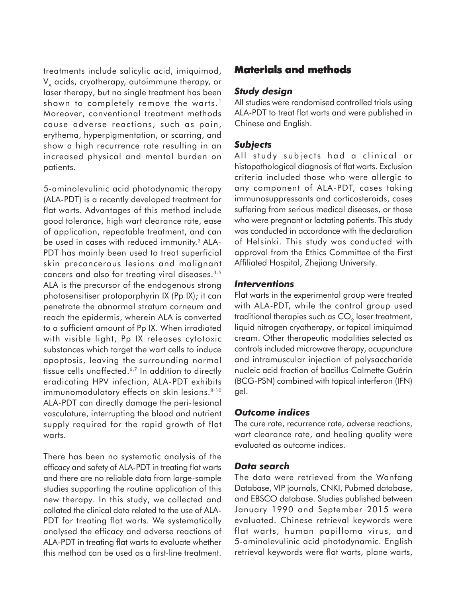treatments include salicylic acid, imiquimod,  $V_{A}$  acids, cryotherapy, autoimmune therapy, or laser therapy, but no single treatment has been shown to completely remove the warts.<sup>1</sup> Moreover, conventional treatment methods cause adverse reactions, such as pain, erythema, hyperpigmentation, or scarring, and show a high recurrence rate resulting in an increased physical and mental burden on patients.

5-aminolevulinic acid photodynamic therapy (ALA-PDT) is a recently developed treatment for flat warts. Advantages of this method include good tolerance, high wart clearance rate, ease of application, repeatable treatment, and can be used in cases with reduced immunity.<sup>2</sup> ALA-PDT has mainly been used to treat superficial skin precancerous lesions and malignant cancers and also for treating viral diseases.3-5 ALA is the precursor of the endogenous strong photosensitiser protoporphyrin IX (Pp IX); it can penetrate the abnormal stratum corneum and reach the epidermis, wherein ALA is converted to a sufficient amount of Pp IX. When irradiated with visible light, Pp IX releases cytotoxic substances which target the wart cells to induce apoptosis, leaving the surrounding normal tissue cells unaffected.<sup>6,7</sup> In addition to directly eradicating HPV infection, ALA-PDT exhibits immunomodulatory effects on skin lesions.<sup>8-10</sup> ALA-PDT can directly damage the peri-lesional vasculature, interrupting the blood and nutrient supply required for the rapid growth of flat warts.

There has been no systematic analysis of the efficacy and safety of ALA-PDT in treating flat warts and there are no reliable data from large-sample studies supporting the routine application of this new therapy. In this study, we collected and collated the clinical data related to the use of ALA-PDT for treating flat warts. We systematically analysed the efficacy and adverse reactions of ALA-PDT in treating flat warts to evaluate whether this method can be used as a first-line treatment.

# **Materials and methods**

## *Study design*

All studies were randomised controlled trials using ALA-PDT to treat flat warts and were published in Chinese and English.

## *Subjects*

All study subjects had a clinical or histopathological diagnosis of flat warts. Exclusion criteria included those who were allergic to any component of ALA-PDT, cases taking immunosuppressants and corticosteroids, cases suffering from serious medical diseases, or those who were pregnant or lactating patients. This study was conducted in accordance with the declaration of Helsinki. This study was conducted with approval from the Ethics Committee of the First Affiliated Hospital, Zhejiang University.

## *Interventions*

Flat warts in the experimental group were treated with ALA-PDT, while the control group used traditional therapies such as  $CO<sub>2</sub>$  laser treatment, liquid nitrogen cryotherapy, or topical imiquimod cream. Other therapeutic modalities selected as controls included microwave therapy, acupuncture and intramuscular injection of polysaccharide nucleic acid fraction of bacillus Calmette Guérin (BCG-PSN) combined with topical interferon (IFN) gel.

## *Outcome indices*

The cure rate, recurrence rate, adverse reactions, wart clearance rate, and healing quality were evaluated as outcome indices.

## *Data search*

The data were retrieved from the Wanfang Database, VIP journals, CNKI, Pubmed database, and EBSCO database. Studies published between January 1990 and September 2015 were evaluated. Chinese retrieval keywords were flat warts, human papilloma virus, and 5-aminolevulinic acid photodynamic. English retrieval keywords were flat warts, plane warts,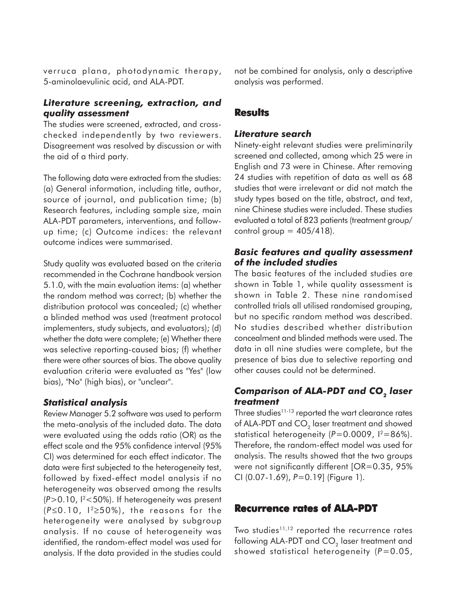verruca plana, photodynamic therapy, 5-aminolaevulinic acid, and ALA-PDT.

## *Literature screening, extraction, and quality assessment*

The studies were screened, extracted, and crosschecked independently by two reviewers. Disagreement was resolved by discussion or with the aid of a third party.

The following data were extracted from the studies: (a) General information, including title, author, source of journal, and publication time; (b) Research features, including sample size, main ALA-PDT parameters, interventions, and followup time; (c) Outcome indices: the relevant outcome indices were summarised.

Study quality was evaluated based on the criteria recommended in the Cochrane handbook version 5.1.0, with the main evaluation items: (a) whether the random method was correct; (b) whether the distribution protocol was concealed; (c) whether a blinded method was used (treatment protocol implementers, study subjects, and evaluators); (d) whether the data were complete; (e) Whether there was selective reporting-caused bias; (f) whether there were other sources of bias. The above quality evaluation criteria were evaluated as "Yes" (low bias), "No" (high bias), or "unclear".

#### *Statistical analysis*

Review Manager 5.2 software was used to perform the meta-analysis of the included data. The data were evaluated using the odds ratio (OR) as the effect scale and the 95% confidence interval (95% CI) was determined for each effect indicator. The data were first subjected to the heterogeneity test, followed by fixed-effect model analysis if no heterogeneity was observed among the results (*P*>0.10, I2<50%). If heterogeneity was present ( $P ≤ 0.10$ ,  $1^2 ≥ 50%$ ), the reasons for the heterogeneity were analysed by subgroup analysis. If no cause of heterogeneity was identified, the random-effect model was used for analysis. If the data provided in the studies could not be combined for analysis, only a descriptive analysis was performed.

## **Results**

#### *Literature search*

Ninety-eight relevant studies were preliminarily screened and collected, among which 25 were in English and 73 were in Chinese. After removing 24 studies with repetition of data as well as 68 studies that were irrelevant or did not match the study types based on the title, abstract, and text, nine Chinese studies were included. These studies evaluated a total of 823 patients (treatment group/ control group  $=$  405/418).

## *Basic features and quality assessment of the included studies*

The basic features of the included studies are shown in Table 1, while quality assessment is shown in Table 2. These nine randomised controlled trials all utilised randomised grouping, but no specific random method was described. No studies described whether distribution concealment and blinded methods were used. The data in all nine studies were complete, but the presence of bias due to selective reporting and other causes could not be determined.

## *Comparison of ALA-PDT and CO2 laser treatment*

Three studies $11-13$  reported the wart clearance rates of ALA-PDT and  $CO<sub>2</sub>$  laser treatment and showed statistical heterogeneity (P=0.0009,  $1^2=86\%$ ). Therefore, the random-effect model was used for analysis. The results showed that the two groups were not significantly different [OR=0.35, 95%] CI (0.07-1.69), *P*=0.19] (Figure 1).

## **Recurrence rates of ALA-PDT**

Two studies $11,12$  reported the recurrence rates following ALA-PDT and  $CO<sub>2</sub>$  laser treatment and showed statistical heterogeneity (*P*=0.05,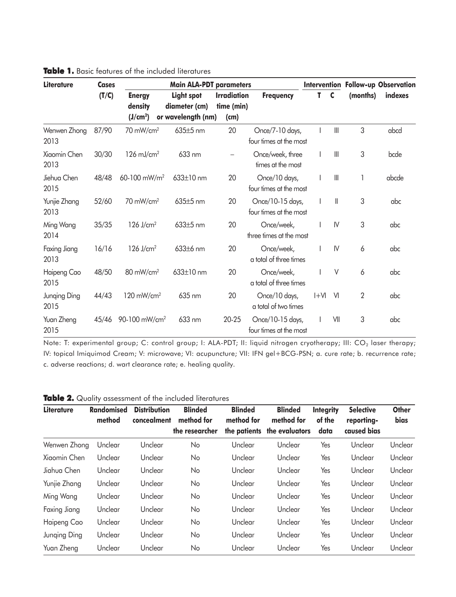| <b>Literature</b>    | <b>Cases</b> |                           | <b>Main ALA-PDT parameters</b>     |                                  |                                            |        |                                       | <b>Intervention Follow-up Observation</b> |         |
|----------------------|--------------|---------------------------|------------------------------------|----------------------------------|--------------------------------------------|--------|---------------------------------------|-------------------------------------------|---------|
|                      | (T/C)        | <b>Energy</b><br>density  | <b>Light spot</b><br>diameter (cm) | <b>Irradiation</b><br>time (min) | <b>Frequency</b>                           | T.     | C                                     | (months)                                  | indexes |
|                      |              | (J/cm <sup>2</sup> )      | or wavelength (nm)                 | (cm)                             |                                            |        |                                       |                                           |         |
| Wenwen Zhong<br>2013 | 87/90        | 70 mW/cm <sup>2</sup>     | $635±5$ nm                         | 20                               | Once/7-10 days,<br>four times at the most  |        | $\parallel \parallel$                 | 3                                         | abcd    |
| Xiaomin Chen<br>2013 | 30/30        | $126$ mJ/cm <sup>2</sup>  | 633 nm                             |                                  | Once/week, three<br>times at the most      |        | $\parallel \parallel$                 | 3                                         | bcde    |
| Jiehua Chen<br>2015  | 48/48        | 60-100 mW/m <sup>2</sup>  | $633\pm10$ nm                      | 20                               | Once/10 days,<br>four times at the most    |        | $\mathbb{I}$                          |                                           | abcde   |
| Yunjie Zhang<br>2013 | 52/60        | 70 mW/cm <sup>2</sup>     | $635±5$ nm                         | 20                               | Once/10-15 days,<br>four times at the most |        | $\label{eq:1} \prod_{i=1}^n \alpha_i$ | 3                                         | abc     |
| Ming Wang<br>2014    | 35/35        | $126$ J/cm <sup>2</sup>   | $633\pm5$ nm                       | 20                               | Once/week,<br>three times at the most      |        | $\mathsf{N}$                          | 3                                         | abc     |
| Faxing Jiang<br>2013 | 16/16        | $126$ J/cm <sup>2</sup>   | $633±6$ nm                         | 20                               | Once/week,<br>a total of three times       |        | $\mathsf{N}$                          | 6                                         | abc     |
| Haipeng Cao<br>2015  | 48/50        | 80 mW/cm <sup>2</sup>     | 633±10 nm                          | 20                               | Once/week,<br>a total of three times       |        | V                                     | 6                                         | abc     |
| Junqing Ding<br>2015 | 44/43        | $120 \text{ mW/cm}^2$     | 635 nm                             | 20                               | Once/10 days,<br>a total of two times      | $I+VI$ | VI                                    | 2                                         | abc     |
| Yuan Zheng<br>2015   | 45/46        | 90-100 mW/cm <sup>2</sup> | 633 nm                             | $20 - 25$                        | Once/10-15 days,<br>four times at the most |        | VII                                   | 3                                         | abc     |

Note: T: experimental group; C: control group; I: ALA-PDT; II: liquid nitrogen cryotherapy; III: CO<sub>2</sub> laser therapy; IV: topical Imiquimod Cream; V: microwave; VI: acupuncture; VII: IFN gel+BCG-PSN; a. cure rate; b. recurrence rate; c. adverse reactions; d. wart clearance rate; e. healing quality.

| Literature   | <b>Randomised</b><br>method | <b>Distribution</b><br>concealment | <b>Blinded</b><br>method for<br>the researcher | <b>Blinded</b><br>method for<br>the patients | <b>Blinded</b><br>method for<br>the evaluators | <b>Integrity</b><br>of the<br>data | <b>Selective</b><br>reporting-<br>caused bias | <b>Other</b><br>bias |
|--------------|-----------------------------|------------------------------------|------------------------------------------------|----------------------------------------------|------------------------------------------------|------------------------------------|-----------------------------------------------|----------------------|
|              |                             |                                    |                                                |                                              |                                                |                                    |                                               | Unclear              |
| Wenwen Zhong | Unclear                     | Unclear                            | No                                             | Unclear                                      | Unclear                                        | Yes                                | Unclear                                       |                      |
| Xigomin Chen | Unclear                     | Unclear                            | No                                             | Unclear                                      | Unclear                                        | Yes                                | Unclear                                       | Unclear              |
| Jiahua Chen  | Unclear                     | Unclear                            | No                                             | Unclear                                      | Unclear                                        | Yes                                | Unclear                                       | Unclear              |
| Yunjie Zhang | Unclear                     | Unclear                            | No.                                            | Unclear                                      | Unclear                                        | Yes                                | Unclear                                       | Unclear              |
| Ming Wang    | Unclear                     | Unclear                            | No.                                            | Unclear                                      | Unclear                                        | Yes                                | Unclear                                       | Unclear              |
| Faxing Jiang | Unclear                     | Unclear                            | No                                             | Unclear                                      | Unclear                                        | Yes                                | Unclear                                       | Unclear              |
| Haipeng Cao  | Unclear                     | Unclear                            | No                                             | Unclear                                      | Unclear                                        | Yes                                | Unclear                                       | Unclear              |
| Junging Ding | Unclear                     | Unclear                            | No                                             | Unclear                                      | Unclear                                        | Yes                                | Unclear                                       | Unclear              |
| Yuan Zheng   | Unclear                     | Unclear                            | No                                             | Unclear                                      | Unclear                                        | Yes                                | Unclear                                       | Unclear              |

| Table 2. Quality assessment of the included literatures |
|---------------------------------------------------------|
|---------------------------------------------------------|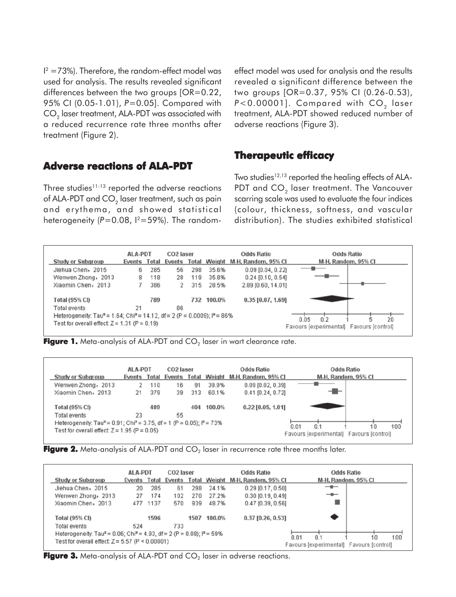$I^2 = 73\%$ ). Therefore, the random-effect model was used for analysis. The results revealed significant differences between the two groups [OR=0.22, 95% CI (0.05-1.01), *P*=0.05]. Compared with  $CO<sub>2</sub>$  laser treatment, ALA-PDT was associated with a reduced recurrence rate three months after treatment (Figure 2).

## **Adverse reactions of ALA-PDT**

Three studies $11-13$  reported the adverse reactions of ALA-PDT and CO<sub>2</sub> laser treatment, such as pain and erythema, and showed statistical heterogeneity (P=0.08,  $\frac{12}{59\%}$ ). The randomeffect model was used for analysis and the results revealed a significant difference between the two groups [OR=0.37, 95% CI (0.26-0.53), *P*<0.00001]. Compared with CO<sub>2</sub> laser treatment, ALA-PDT showed reduced number of adverse reactions (Figure 3).

## **Therapeutic efficacy**

Two studies $12,13$  reported the healing effects of ALA-PDT and CO<sub>2</sub> laser treatment. The Vancouver scarring scale was used to evaluate the four indices (colour, thickness, softness, and vascular distribution). The studies exhibited statistical



Figure 1. Meta-analysis of ALA-PDT and CO<sub>2</sub> laser in wart clearance rate.

|                                                                                                          | ALA-PDT |     | CO <sub>2</sub> laser |     |        | <b>Odds Ratio</b>                                    | <b>Odds Ratio</b>                                       |     |  |
|----------------------------------------------------------------------------------------------------------|---------|-----|-----------------------|-----|--------|------------------------------------------------------|---------------------------------------------------------|-----|--|
| <b>Study or Subgroup</b>                                                                                 |         |     |                       |     |        | Events Total Events Total Weight M-H, Random, 95% CI | M-H, Random, 95% CI                                     |     |  |
| Wenwen Zhong, 2013                                                                                       |         | 110 | 16                    | 91  | 39.9%  | $0.09$ $[0.02, 0.39]$                                |                                                         |     |  |
| Xiaomin Chen, 2013                                                                                       | 21      | 379 | 39                    | 313 | 60.1%  | $0.41$ [0.24, 0.72]                                  | ╼                                                       |     |  |
| <b>Total (95% CI)</b>                                                                                    |         | 489 |                       | 404 | 100.0% | $0.22$ [0.05, 1.01]                                  |                                                         |     |  |
| Total events                                                                                             | 23      |     | 55                    |     |        |                                                      |                                                         |     |  |
| Heterogeneity: Tau <sup>2</sup> = 0.91; Chi <sup>2</sup> = 3.75, df = 1 (P = 0.05); l <sup>2</sup> = 73% |         |     |                       |     |        |                                                      |                                                         |     |  |
| Test for overall effect: $Z = 1.95$ (P = 0.05)                                                           |         |     |                       |     |        |                                                      | 0.01<br>0.1<br>Favours [experimental] Favours [control] | 100 |  |

**Figure 2.** Meta-analysis of ALA-PDT and CO<sub>2</sub> laser in recurrence rate three months later.

|                                                                                                | ALA-PDT<br>CO2 laser |      |     |      |        | <b>Odds Ratio</b>                                    |                                                  | <b>Odds Ratio</b>   |
|------------------------------------------------------------------------------------------------|----------------------|------|-----|------|--------|------------------------------------------------------|--------------------------------------------------|---------------------|
| <b>Study or Subgroup</b>                                                                       |                      |      |     |      |        | Events Total Events Total Weight M-H, Random, 95% CI |                                                  | M-H, Random, 95% CI |
| Jiehua Chen, 2015                                                                              | 20                   | 285  | 61  | 298  | 24.1%  | $0.29$ [0.17, 0.50]                                  | $-$                                              |                     |
| Wenwen Zhong, 2013                                                                             | 27                   | 174  | 102 | 270  | 27.2%  | $0.30$ [0.19, 0.49]                                  | $-$                                              |                     |
| Xiaomin Chen, 2013                                                                             | 477                  | 1137 | 570 | 939  | 48.7%  | $0.47$ [0.39, 0.56]                                  | ▉                                                |                     |
| Total (95% CI)                                                                                 |                      | 1596 |     | 1507 | 100.0% | $0.37$ [0.26, 0.53]                                  |                                                  |                     |
| <b>Total events</b>                                                                            | 524                  |      | 733 |      |        |                                                      |                                                  |                     |
| Heterogeneity: Tau <sup>2</sup> = 0.06; Chi <sup>2</sup> = 4.93, df = 2 (P = 0.08); $P = 59\%$ |                      |      |     |      |        |                                                      | 0.1                                              |                     |
| Test for overall effect: $Z = 5.57$ (P < 0.00001)                                              |                      |      |     |      |        |                                                      | 0.01<br>Favours lexperimentall Favours lcontroll | 100                 |

**Figure 3.** Meta-analysis of ALA-PDT and CO<sub>2</sub> laser in adverse reactions.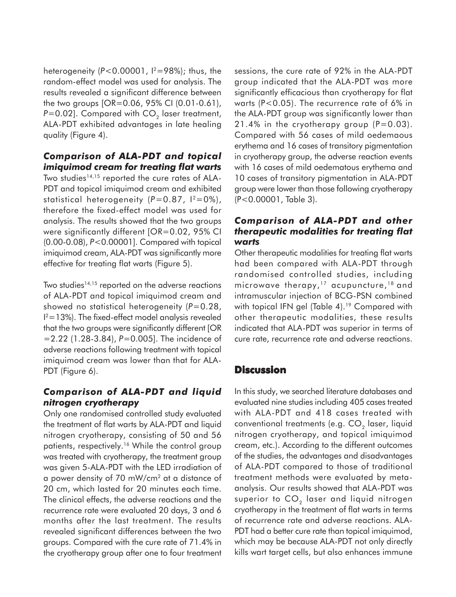heterogeneity  $(P< 0.00001, 1^2=98\%)$ ; thus, the random-effect model was used for analysis. The results revealed a significant difference between the two groups [OR=0.06, 95% CI (0.01-0.61),  $P=0.02$ ]. Compared with CO<sub>2</sub> laser treatment, ALA-PDT exhibited advantages in late healing quality (Figure 4).

## *Comparison of ALA-PDT and topical imiquimod cream for treating flat warts*

Two studies<sup>14,15</sup> reported the cure rates of ALA-PDT and topical imiquimod cream and exhibited statistical heterogeneity (P=0.87,  $1^2=0\%$ ), therefore the fixed-effect model was used for analysis. The results showed that the two groups were significantly different [OR=0.02, 95% CI (0.00-0.08), *P*<0.00001]. Compared with topical imiquimod cream, ALA-PDT was significantly more effective for treating flat warts (Figure 5).

Two studies<sup>14,15</sup> reported on the adverse reactions of ALA-PDT and topical imiquimod cream and showed no statistical heterogeneity (*P*=0.28,  $I^2$ =13%). The fixed-effect model analysis revealed that the two groups were significantly different [OR =2.22 (1.28-3.84), *P*=0.005]. The incidence of adverse reactions following treatment with topical imiquimod cream was lower than that for ALA-PDT (Figure 6).

## *Comparison of ALA-PDT and liquid nitrogen cryotherapy*

Only one randomised controlled study evaluated the treatment of flat warts by ALA-PDT and liquid nitrogen cryotherapy, consisting of 50 and 56 patients, respectively.<sup>16</sup> While the control group was treated with cryotherapy, the treatment group was given 5-ALA-PDT with the LED irradiation of a power density of 70 mW/cm2 at a distance of 20 cm, which lasted for 20 minutes each time. The clinical effects, the adverse reactions and the recurrence rate were evaluated 20 days, 3 and 6 months after the last treatment. The results revealed significant differences between the two groups. Compared with the cure rate of 71.4% in the cryotherapy group after one to four treatment

sessions, the cure rate of 92% in the ALA-PDT group indicated that the ALA-PDT was more significantly efficacious than cryotherapy for flat warts (P<0.05). The recurrence rate of 6% in the ALA-PDT group was significantly lower than 21.4% in the cryotherapy group  $(P=0.03)$ . Compared with 56 cases of mild oedemaous erythema and 16 cases of transitory pigmentation in cryotherapy group, the adverse reaction events with 16 cases of mild oedematous erythema and 10 cases of transitory pigmentation in ALA-PDT group were lower than those following cryotherapy (P<0.00001, Table 3).

## *Comparison of ALA-PDT and other therapeutic modalities for treating flat warts*

Other therapeutic modalities for treating flat warts had been compared with ALA-PDT through randomised controlled studies, including microwave therapy,<sup>17</sup> acupuncture,<sup>18</sup> and intramuscular injection of BCG-PSN combined with topical IFN gel (Table 4).<sup>19</sup> Compared with other therapeutic modalities, these results indicated that ALA-PDT was superior in terms of cure rate, recurrence rate and adverse reactions.

# **Discussion**

In this study, we searched literature databases and evaluated nine studies including 405 cases treated with ALA-PDT and 418 cases treated with conventional treatments (e.g.  $CO<sub>2</sub>$  laser, liquid nitrogen cryotherapy, and topical imiquimod cream, etc.). According to the different outcomes of the studies, the advantages and disadvantages of ALA-PDT compared to those of traditional treatment methods were evaluated by metaanalysis. Our results showed that ALA-PDT was superior to  $CO<sub>2</sub>$  laser and liquid nitrogen cryotherapy in the treatment of flat warts in terms of recurrence rate and adverse reactions. ALA-PDT had a better cure rate than topical imiquimod, which may be because ALA-PDT not only directly kills wart target cells, but also enhances immune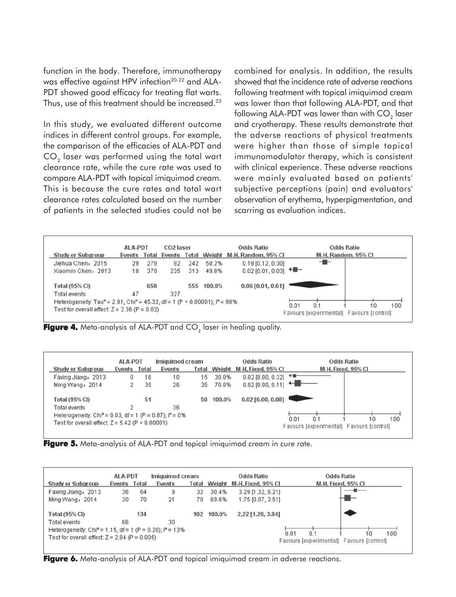function in the body. Therefore, immunotherapy was effective against HPV infection<sup>20-22</sup> and ALA-PDT showed good efficacy for treating flat warts. Thus, use of this treatment should be increased.<sup>23</sup>

In this study, we evaluated different outcome indices in different control groups. For example, the comparison of the efficacies of ALA-PDT and CO<sub>2</sub> laser was performed using the total wart clearance rate, while the cure rate was used to compare ALA-PDT with topical imiquimod cream. This is because the cure rates and total wart clearance rates calculated based on the number of patients in the selected studies could not be combined for analysis. In addition, the results showed that the incidence rate of adverse reactions following treatment with topical imiquimod cream was lower than that following ALA-PDT, and that following ALA-PDT was lower than with  $CO<sub>2</sub>$  laser and cryotherapy. These results demonstrate that the adverse reactions of physical treatments were higher than those of simple topical immunomodulator therapy, which is consistent with clinical experience. These adverse reactions were mainly evaluated based on patients' subjective perceptions (pain) and evaluators' observation of erythema, hyperpigmentation, and scarring as evaluation indices.



**Figure 4.** Meta-analysis of ALA-PDT and CO<sub>2</sub> laser in healing quality.





|                                                                       | Imiguimod cream<br><b>ALA-PDT</b> |     |        |     |                     | <b>Odds Ratio</b>  | <b>Odds Ratio</b>                                             |
|-----------------------------------------------------------------------|-----------------------------------|-----|--------|-----|---------------------|--------------------|---------------------------------------------------------------|
| <b>Study or Subgroup</b>                                              | Events Total                      |     | Events |     | <b>Total Weight</b> | M-H, Fixed, 95% CI | M-H, Fixed, 95% CI                                            |
| Faxing Jiang, 2013                                                    | 36                                | 64  | 9      | 32  | 30.4%               | 3.29 [1.32, 8.21]  |                                                               |
| Ming Wang, 2014                                                       | 30                                | 70  | 21     | 70  | 69.6%               | 1.75 [0.87, 3.51]  |                                                               |
| <b>Total (95% CI)</b>                                                 |                                   | 134 |        | 102 | 100.0%              | 2.22 [1.28, 3.84]  |                                                               |
| Total events                                                          | 66                                |     | 30     |     |                     |                    |                                                               |
| Heterogeneity: Chi <sup>2</sup> = 1.15, df = 1 (P = 0.28); $P = 13\%$ |                                   |     |        |     |                     |                    | 0.1                                                           |
| Test for overall effect: $Z = 2.84$ (P = 0.005)                       |                                   |     |        |     |                     |                    | 0.01<br>100<br>10<br>Favours [experimental] Favours [control] |

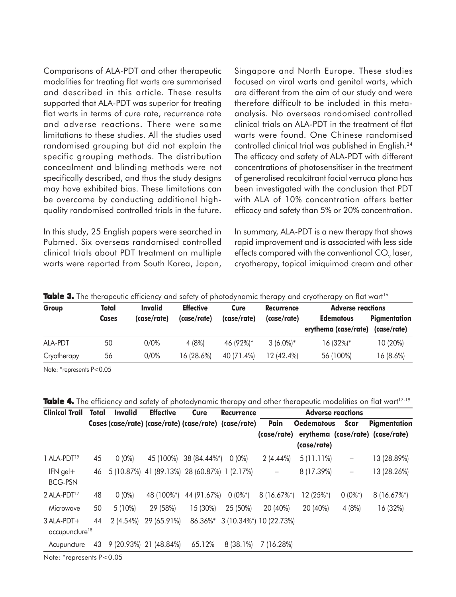Comparisons of ALA-PDT and other therapeutic modalities for treating flat warts are summarised and described in this article. These results supported that ALA-PDT was superior for treating flat warts in terms of cure rate, recurrence rate and adverse reactions. There were some limitations to these studies. All the studies used randomised grouping but did not explain the specific grouping methods. The distribution concealment and blinding methods were not specifically described, and thus the study designs may have exhibited bias. These limitations can be overcome by conducting additional highquality randomised controlled trials in the future.

In this study, 25 English papers were searched in Pubmed. Six overseas randomised controlled clinical trials about PDT treatment on multiple warts were reported from South Korea, Japan, Singapore and North Europe. These studies focused on viral warts and genital warts, which are different from the aim of our study and were therefore difficult to be included in this metaanalysis. No overseas randomised controlled clinical trials on ALA-PDT in the treatment of flat warts were found. One Chinese randomised controlled clinical trial was published in English.24 The efficacy and safety of ALA-PDT with different concentrations of photosensitiser in the treatment of generalised recalcitrant facial verruca plana has been investigated with the conclusion that PDT with ALA of 10% concentration offers better efficacy and safety than 5% or 20% concentration.

In summary, ALA-PDT is a new therapy that shows rapid improvement and is associated with less side effects compared with the conventional  $CO<sub>2</sub>$  laser, cryotherapy, topical imiquimod cream and other

| Group       | Total        | Invalid     | <b>Effective</b> | Cure        | <b>Recurrence</b> | <b>Adverse reactions</b>                 |                                    |  |  |
|-------------|--------------|-------------|------------------|-------------|-------------------|------------------------------------------|------------------------------------|--|--|
|             | <b>Cases</b> | (case/rate) | (case/rate)      | (case/rate) | (case/rate)       | <b>Edematous</b><br>erythema (case/rate) | <b>Pigmentation</b><br>(case/rate) |  |  |
| ALA-PDT     | 50           | 0/0%        | 4 (8%)           | 46 (92%)*   | $3(6.0\%)*$       | $16(32\%)*$                              | 10 (20%)                           |  |  |
| Cryotherapy | 56           | 0/0%        | 16 (28.6%)       | 40 (71.4%)  | 12 (42.4%)        | 56 (100%)                                | $16(8.6\%)$                        |  |  |

**Table 3.** The therapeutic efficiency and safety of photodynamic therapy and cryotherapy on flat wart<sup>16</sup>

Note: \*represents P<0.05

**Table 4.** The efficiency and safety of photodynamic therapy and other therapeutic modalities on flat wart<sup>17-19</sup>

| <b>Clinical Trail</b>                    | Total | <b>Invalid</b> | <b>Effective</b>                                      | Cure                   | <b>Recurrence</b>               |              |                   | <b>Adverse reactions</b> |                                  |
|------------------------------------------|-------|----------------|-------------------------------------------------------|------------------------|---------------------------------|--------------|-------------------|--------------------------|----------------------------------|
|                                          |       |                | Cases (case/rate) (case/rate) (case/rate) (case/rate) |                        |                                 | Pain         | <b>Oedematous</b> | Scar                     | <b>Pigmentation</b>              |
|                                          |       |                |                                                       |                        |                                 | (case/rate)  |                   |                          | erythema (case/rate) (case/rate) |
|                                          |       |                |                                                       |                        |                                 |              | (case/rate)       |                          |                                  |
| 1 ALA-PDT <sup>19</sup>                  | 45    | $0(0\%)$       |                                                       | 45 (100%) 38 (84.44%*) | $0(0\%)$                        | $2(4.44\%)$  | $5(11.11\%)$      | -                        | 13 (28.89%)                      |
| $IFN$ gel +<br><b>BCG-PSN</b>            | 46    |                | 5 (10.87%) 41 (89.13%) 28 (60.87%) 1 (2.17%)          |                        |                                 |              | 8 (17.39%)        | -                        | 13 (28.26%)                      |
| 2 ALA-PDT <sup>17</sup>                  | 48    | $0(0\%)$       | 48 (100%*)                                            | 44 (91.67%)            | $0(0\%^*)$                      | $8(16.67\%)$ | $12(25\%)$        | $0(0\%^*)$               | $8(16.67\%)$                     |
| Microwave                                | 50    | $5(10\%)$      | 29 (58%)                                              | 15 (30%)               | 25 (50%)                        | 20 (40%)     | 20 (40%)          | 4(8%)                    | 16 (32%)                         |
| 3 ALA-PDT+<br>accupuncture <sup>18</sup> | 44    | 2(4.54%)       | 29 (65.91%)                                           |                        | 86.36%* 3 (10.34%*) 10 (22.73%) |              |                   |                          |                                  |
| Acupuncture                              |       |                | 43 9 (20.93%) 21 (48.84%)                             | 65.12%                 | $8(38.1\%)$                     | 7 (16.28%)   |                   |                          |                                  |
| Note: *represents P<0.05                 |       |                |                                                       |                        |                                 |              |                   |                          |                                  |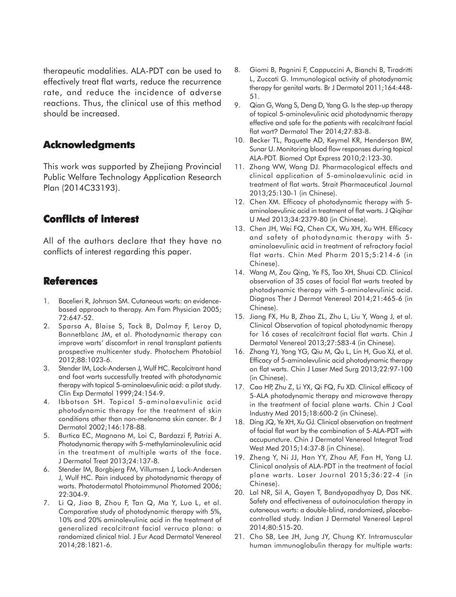therapeutic modalities. ALA-PDT can be used to effectively treat flat warts, reduce the recurrence rate, and reduce the incidence of adverse reactions. Thus, the clinical use of this method should be increased.

## **Acknowledgments**

This work was supported by Zhejiang Provincial Public Welfare Technology Application Research Plan (2014C33193).

# **Conflicts of interest Conflicts interest**

All of the authors declare that they have no conflicts of interest regarding this paper.

# **References**

- 1. Bacelieri R, Johnson SM. Cutaneous warts: an evidencebased approach to therapy. Am Fam Physician 2005; 72:647-52.
- 2. Sparsa A, Blaise S, Tack B, Dalmay F, Leroy D, Bonnetblanc JM, et al. Photodynamic therapy can improve warts' discomfort in renal transplant patients prospective multicenter study. Photochem Photobiol 2012;88:1023-6.
- 3. Stender IM, Lock-Andersen J, Wulf HC. Recalcitrant hand and foot warts successfully treated with photodynamic therapy with topical 5-aminolaevulinic acid: a pilot study. Clin Exp Dermatol 1999;24:154-9.
- 4. Ibbotson SH. Topical 5-aminolaevulinic acid photodynamic therapy for the treatment of skin conditions other than non-melanoma skin cancer. Br J Dermatol 2002;146:178-88.
- 5. Burtica EC, Magnano M, Loi C, Bardazzi F, Patrizi A. Photodynamic therapy with 5-methylaminolevulinic acid in the treatment of multiple warts of the face. J Dermatol Treat 2013;24:137-8.
- 6. Stender IM, Borgbjerg FM, Villumsen J, Lock-Andersen J, Wulf HC. Pain induced by photodynamic therapy of warts. Photodermatol Photoimmunol Photomed 2006; 22:304-9.
- 7. Li Q, Jiao B, Zhou F, Tan Q, Ma Y, Luo L, et al. Comparative study of photodynamic therapy with 5%, 10% and 20% aminolevulinic acid in the treatment of generalized recalcitrant facial verruca plana: a randomized clinical trial. J Eur Acad Dermatol Venereol 2014;28:1821-6.
- 8. Giomi B, Pagnini F, Cappuccini A, Bianchi B, Tiradritti L, Zuccati G. Immunological activity of photodynamic therapy for genital warts. Br J Dermatol 2011;164:448- 51.
- 9. Qian G, Wang S, Deng D, Yang G. Is the step-up therapy of topical 5-aminolevulinic acid photodynamic therapy effective and safe for the patients with recalcitrant facial flat wart? Dermatol Ther 2014;27:83-8.
- 10. Becker TL, Paquette AD, Keymel KR, Henderson BW, Sunar U. Monitoring blood flow responses during topical ALA-PDT. Biomed Opt Express 2010;2:123-30.
- 11. Zhong WW, Wang DJ. Pharmacological effects and clinical application of 5-aminolaevulinic acid in treatment of flat warts. Strait Pharmaceutical Journal 2013;25:130-1 (in Chinese).
- 12. Chen XM. Efficacy of photodynamic therapy with 5 aminolaevulinic acid in treatment of flat warts. J Qiqihar U Med 2013;34:2379-80 (in Chinese).
- 13. Chen JH, Wei FQ, Chen CX, Wu XH, Xu WH. Efficacy and safety of photodynamic therapy with 5 aminolaevulinic acid in treatment of refractory facial flat warts. Chin Med Pharm 2015;5:214-6 (in Chinese).
- 14. Wang M, Zou Qing, Ye FS, Tao XH, Shuai CD. Clinical observation of 35 cases of facial flat warts treated by photodynamic therapy with 5-aminolevulinic acid. Diagnos Ther J Dermat Venereol 2014;21:465-6 (in Chinese).
- 15. Jiang FX, Hu B, Zhao ZL, Zhu L, Liu Y, Wang J, et al. Clinical Observation of topical photodynamic therapy for 16 cases of recalcitrant facial flat warts. Chin J Dermatol Venereol 2013;27:583-4 (in Chinese).
- 16. Zhang YJ, Yang YG, Qiu M, Qu L, Lin H, Guo XJ, et al. Efficacy of 5-aminolevulinic acid photodynamic therapy on flat warts. Chin J Laser Med Surg 2013;22:97-100 (in Chinese).
- 17. Cao HP, Zhu Z, Li YX, Qi FQ, Fu XD. Clinical efficacy of 5-ALA photodynamic therapy and microwave therapy in the treatment of facial plane warts. Chin J Coal Industry Med 2015;18:600-2 (in Chinese).
- 18. Ding JQ, Ye XH, Xu GJ. Clinical observation on treatment of facial flat wart by the combination of 5-ALA-PDT with accupuncture. Chin J Dermatol Venereol Integrat Trad West Med 2015;14:37-8 (in Chinese).
- 19. Zheng Y, Ni JJ, Han YY, Zhou AF, Fan H, Yang LJ. Clinical analysis of ALA-PDT in the treatment of facial plane warts. Laser Journal 2015;36:22-4 (in Chinese).
- 20. Lal NR, Sil A, Gayen T, Bandyopadhyay D, Das NK. Safety and effectiveness of autoinoculation therapy in cutaneous warts: a double-blind, randomized, placebocontrolled study. Indian J Dermatol Venereol Leprol 2014;80:515-20.
- 21. Cho SB, Lee JH, Jung JY, Chung KY. Intramuscular human immunoglobulin therapy for multiple warts: